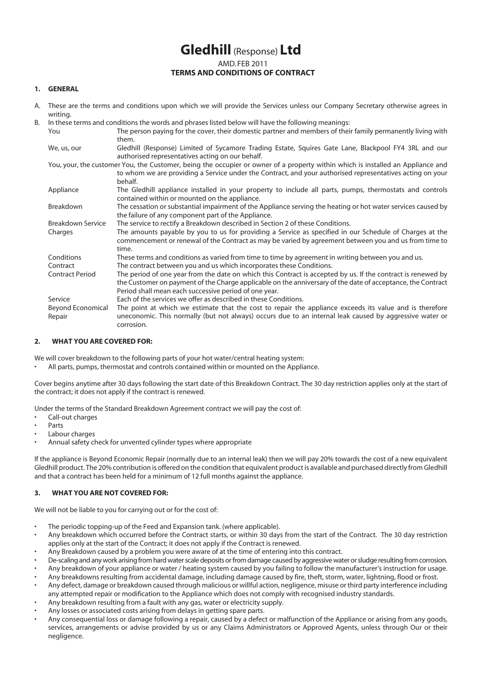# **Gledhill** (Response) **Ltd** AMD. FEB 2011 **TERMS AND CONDITIONS OF CONTRACT**

#### **1. GENERAL**

A. These are the terms and conditions upon which we will provide the Services unless our Company Secretary otherwise agrees in writing.

| В. | In these terms and conditions the words and phrases listed below will have the following meanings:                              |                                                                                                              |
|----|---------------------------------------------------------------------------------------------------------------------------------|--------------------------------------------------------------------------------------------------------------|
|    | You                                                                                                                             | The person paying for the cover, their domestic partner and members of their family permanently living with  |
|    |                                                                                                                                 | them.                                                                                                        |
|    | We, us, our                                                                                                                     | Gledhill (Response) Limited of Sycamore Trading Estate, Squires Gate Lane, Blackpool FY4 3RL and our         |
|    |                                                                                                                                 | authorised representatives acting on our behalf.                                                             |
|    | You, your, the customer You, the Customer, being the occupier or owner of a property within which is installed an Appliance and |                                                                                                              |
|    |                                                                                                                                 | to whom we are providing a Service under the Contract, and your authorised representatives acting on your    |
|    |                                                                                                                                 | behalf.                                                                                                      |
|    | Appliance                                                                                                                       | The Gledhill appliance installed in your property to include all parts, pumps, thermostats and controls      |
|    |                                                                                                                                 | contained within or mounted on the appliance.                                                                |
|    | Breakdown                                                                                                                       | The cessation or substantial impairment of the Appliance serving the heating or hot water services caused by |
|    |                                                                                                                                 | the failure of any component part of the Appliance.                                                          |
|    | <b>Breakdown Service</b>                                                                                                        | The service to rectify a Breakdown described in Section 2 of these Conditions.                               |
|    | Charges                                                                                                                         | The amounts payable by you to us for providing a Service as specified in our Schedule of Charges at the      |
|    |                                                                                                                                 | commencement or renewal of the Contract as may be varied by agreement between you and us from time to        |
|    |                                                                                                                                 | time.                                                                                                        |
|    | Conditions                                                                                                                      | These terms and conditions as varied from time to time by agreement in writing between you and us.           |
|    | Contract                                                                                                                        | The contract between you and us which incorporates these Conditions.                                         |
|    | <b>Contract Period</b>                                                                                                          | The period of one year from the date on which this Contract is accepted by us. If the contract is renewed by |
|    |                                                                                                                                 | the Customer on payment of the Charge applicable on the anniversary of the date of acceptance, the Contract  |
|    |                                                                                                                                 | Period shall mean each successive period of one year.                                                        |
|    | Service                                                                                                                         | Each of the services we offer as described in these Conditions.                                              |
|    | <b>Beyond Economical</b>                                                                                                        | The point at which we estimate that the cost to repair the appliance exceeds its value and is therefore      |
|    | Repair                                                                                                                          | uneconomic. This normally (but not always) occurs due to an internal leak caused by aggressive water or      |
|    |                                                                                                                                 | corrosion.                                                                                                   |

## **2. WHAT YOU ARE COVERED FOR:**

We will cover breakdown to the following parts of your hot water/central heating system:

• All parts, pumps, thermostat and controls contained within or mounted on the Appliance.

Cover begins anytime after 30 days following the start date of this Breakdown Contract. The 30 day restriction applies only at the start of the contract; it does not apply if the contract is renewed.

Under the terms of the Standard Breakdown Agreement contract we will pay the cost of:

- Call-out charges
- **Parts**
- Labour charges
- Annual safety check for unvented cylinder types where appropriate

If the appliance is Beyond Economic Repair (normally due to an internal leak) then we will pay 20% towards the cost of a new equivalent Gledhill product. The 20% contribution is offered on the condition that equivalent product is available and purchased directly from Gledhill and that a contract has been held for a minimum of 12 full months against the appliance.

## **3. WHAT YOU ARE NOT COVERED FOR:**

We will not be liable to you for carrying out or for the cost of:

- The periodic topping-up of the Feed and Expansion tank. (where applicable).
- Any breakdown which occurred before the Contract starts, or within 30 days from the start of the Contract. The 30 day restriction applies only at the start of the Contract; it does not apply if the Contract is renewed.
- Any Breakdown caused by a problem you were aware of at the time of entering into this contract.
- De-scaling and any work arising from hard water scale deposits or from damage caused by aggressive water or sludge resulting from corrosion.
- Any breakdown of your appliance or water / heating system caused by you failing to follow the manufacturer's instruction for usage.
- Any breakdowns resulting from accidental damage, including damage caused by fire, theft, storm, water, lightning, flood or frost.
- Any defect, damage or breakdown caused through malicious or willful action, negligence, misuse or third party interference including any attempted repair or modification to the Appliance which does not comply with recognised industry standards.
- Any breakdown resulting from a fault with any gas, water or electricity supply. Any losses or associated costs arising from delays in getting spare parts.
- Any consequential loss or damage following a repair, caused by a defect or malfunction of the Appliance or arising from any goods, services, arrangements or advise provided by us or any Claims Administrators or Approved Agents, unless through Our or their negligence.